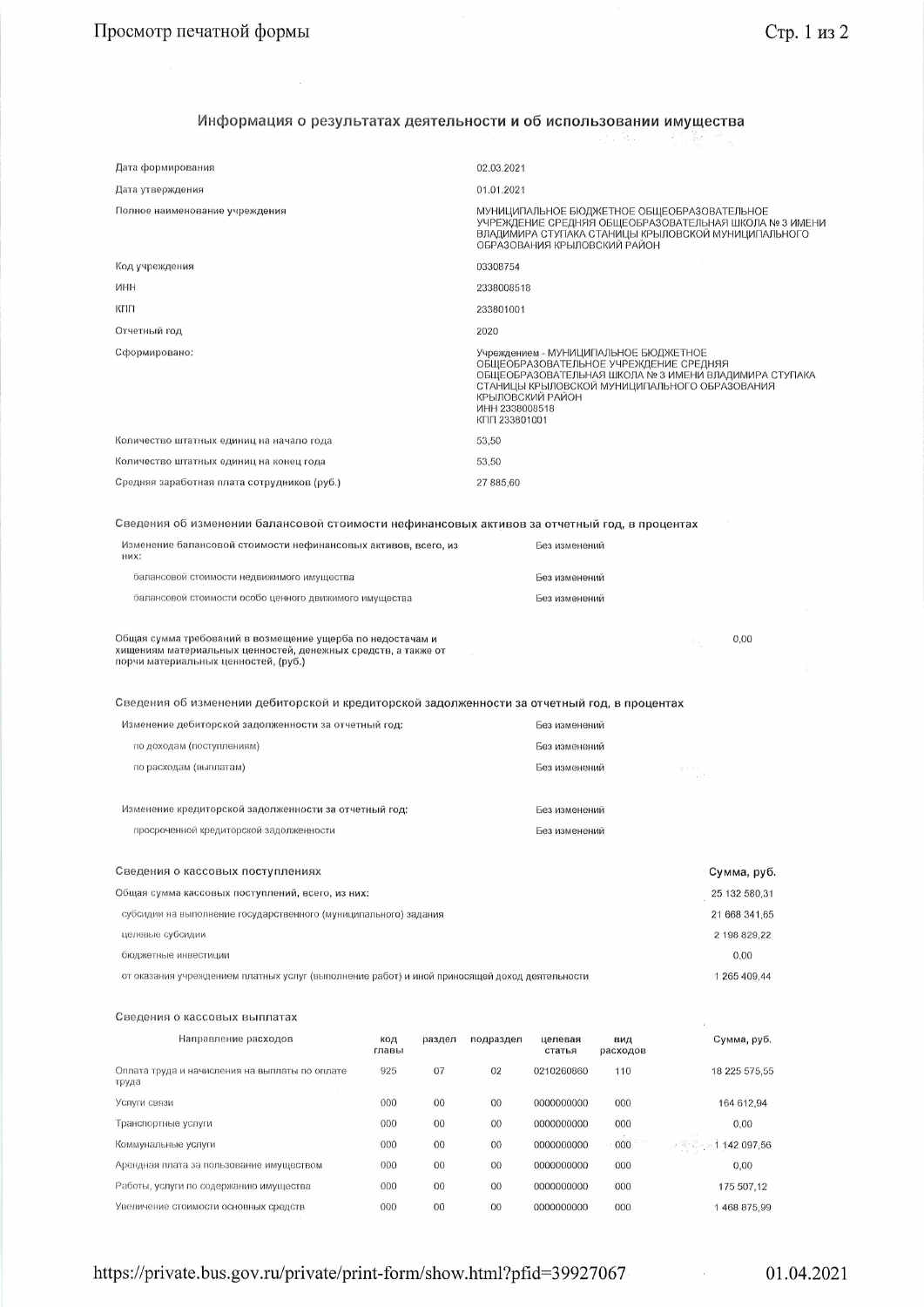## Информация о результатах деятельности и об использовании имущества 经海损 经整体

| Дата формирования                                                                                                                                                   |              |              | 02.03.2021                      |                                                                                                                                                                                                               |                 |                                                        |  |  |
|---------------------------------------------------------------------------------------------------------------------------------------------------------------------|--------------|--------------|---------------------------------|---------------------------------------------------------------------------------------------------------------------------------------------------------------------------------------------------------------|-----------------|--------------------------------------------------------|--|--|
| Дата утверждения                                                                                                                                                    |              |              | 01.01.2021                      |                                                                                                                                                                                                               |                 |                                                        |  |  |
| Полное наименование учреждения                                                                                                                                      |              |              |                                 | МУНИЦИПАЛЬНОЕ БЮДЖЕТНОЕ ОБЩЕОБРАЗОВАТЕЛЬНОЕ<br>УЧРЕЖДЕНИЕ СРЕДНЯЯ ОБЩЕОБРАЗОВАТЕЛЬНАЯ ШКОЛА № 3 ИМЕНИ<br>ВЛАДИМИРА СТУПАКА СТАНИЦЫ КРЫЛОВСКОЙ МУНИЦИПАЛЬНОГО<br>ОБРАЗОВАНИЯ КРЫЛОВСКИЙ РАЙОН                  |                 |                                                        |  |  |
| Код учреждения                                                                                                                                                      |              |              | 03308754                        |                                                                                                                                                                                                               |                 |                                                        |  |  |
| ИНН                                                                                                                                                                 |              |              | 2338008518                      |                                                                                                                                                                                                               |                 |                                                        |  |  |
| кпп                                                                                                                                                                 |              |              | 233801001                       |                                                                                                                                                                                                               |                 |                                                        |  |  |
| Отчетный год                                                                                                                                                        |              |              | 2020                            |                                                                                                                                                                                                               |                 |                                                        |  |  |
| Сформировано:                                                                                                                                                       |              |              | ИНН 2338008518<br>КПП 233801001 | Учреждением - МУНИЦИПАЛЬНОЕ БЮДЖЕТНОЕ<br>ОБЩЕОБРАЗОВАТЕЛЬНОЕ УЧРЕЖДЕНИЕ СРЕДНЯЯ<br>ОБЩЕОБРАЗОВАТЕЛЬНАЯ ШКОЛА № 3 ИМЕНИ ВЛАДИМИРА СТУПАКА<br>СТАНИЦЫ КРЫЛОВСКОЙ МУНИЦИПАЛЬНОГО ОБРАЗОВАНИЯ<br>КРЫЛОВСКИЙ РАЙОН |                 |                                                        |  |  |
| Количество штатных единиц на начало года                                                                                                                            |              |              | 53,50                           |                                                                                                                                                                                                               |                 |                                                        |  |  |
| Количество штатных единиц на конец года                                                                                                                             |              |              | 53,50                           |                                                                                                                                                                                                               |                 |                                                        |  |  |
| Средняя заработная плата сотрудников (руб.)                                                                                                                         |              |              | 27 885,60                       |                                                                                                                                                                                                               |                 |                                                        |  |  |
|                                                                                                                                                                     |              |              |                                 |                                                                                                                                                                                                               |                 |                                                        |  |  |
| Сведения об изменении балансовой стоимости нефинансовых активов за отчетный год, в процентах                                                                        |              |              |                                 |                                                                                                                                                                                                               |                 |                                                        |  |  |
| Изменение балансовой стоимости нефинансовых активов, всего, из<br>них:                                                                                              |              |              |                                 | Без изменений                                                                                                                                                                                                 |                 |                                                        |  |  |
| балансовой стоимости недвижимого имущества                                                                                                                          |              |              |                                 | Без изменений                                                                                                                                                                                                 |                 |                                                        |  |  |
| балансовой стоимости особо ценного движимого имущества                                                                                                              |              |              |                                 | Без изменений                                                                                                                                                                                                 |                 |                                                        |  |  |
| Общая сумма требований в возмещение ущерба по недостачам и<br>хищениям материальных ценностей, денежных средств, а также от<br>порчи материальных ценностей, (руб.) |              |              |                                 |                                                                                                                                                                                                               |                 | 0,00<br>$\mathbb{R}_{\geq 0}$                          |  |  |
|                                                                                                                                                                     |              |              |                                 |                                                                                                                                                                                                               |                 |                                                        |  |  |
| Сведения об изменении дебиторской и кредиторской задолженности за отчетный год, в процентах                                                                         |              |              |                                 |                                                                                                                                                                                                               |                 |                                                        |  |  |
| Изменение дебиторской задолженности за отчетный год:                                                                                                                |              |              |                                 | Без изменений                                                                                                                                                                                                 |                 |                                                        |  |  |
| по доходам (поступлениям)                                                                                                                                           |              |              |                                 | Без изменений                                                                                                                                                                                                 |                 |                                                        |  |  |
| по расходам (выплатам)                                                                                                                                              |              |              |                                 | Без изменений                                                                                                                                                                                                 |                 | $\gamma \propto 10^7$                                  |  |  |
|                                                                                                                                                                     |              |              |                                 |                                                                                                                                                                                                               |                 | $\alpha$ $\beta^2$                                     |  |  |
| Изменение кредиторской задолженности за отчетный год:                                                                                                               |              |              |                                 | Без изменений                                                                                                                                                                                                 |                 |                                                        |  |  |
| просроченной кредиторской задолженности                                                                                                                             |              |              |                                 | Без изменений                                                                                                                                                                                                 |                 |                                                        |  |  |
|                                                                                                                                                                     |              |              |                                 |                                                                                                                                                                                                               |                 |                                                        |  |  |
| Сведения о кассовых поступлениях                                                                                                                                    |              |              |                                 |                                                                                                                                                                                                               |                 | Сумма, руб.                                            |  |  |
| Общая сумма кассовых поступлений, всего, из них:                                                                                                                    |              |              |                                 |                                                                                                                                                                                                               |                 | 25 132 580,31                                          |  |  |
| субсидии на выполнение государственного (муниципального) задания                                                                                                    |              |              |                                 |                                                                                                                                                                                                               |                 | 21 668 341,65                                          |  |  |
| целевые субсидии                                                                                                                                                    |              |              |                                 |                                                                                                                                                                                                               |                 | 2 198 829,22                                           |  |  |
| бюджетные инвестиции                                                                                                                                                |              |              |                                 |                                                                                                                                                                                                               |                 | 0,00                                                   |  |  |
| от оказания учреждением платных услуг (выполнение работ) и иной приносящей доход деятельности                                                                       |              |              |                                 |                                                                                                                                                                                                               |                 | 1 265 409,44                                           |  |  |
|                                                                                                                                                                     |              |              |                                 |                                                                                                                                                                                                               |                 |                                                        |  |  |
| Сведения о кассовых выплатах                                                                                                                                        |              |              |                                 |                                                                                                                                                                                                               |                 |                                                        |  |  |
| Направление расходов                                                                                                                                                | код<br>главы | раздел       | подраздел                       | целевая<br>статья                                                                                                                                                                                             | вид<br>расходов | Сумма, руб.                                            |  |  |
| Оплата труда и начисления на выплаты по оплате<br>труда                                                                                                             | 925          | 07           | 02                              | 0210260860                                                                                                                                                                                                    | 110             | 18 225 575,55                                          |  |  |
| Услуги связи                                                                                                                                                        | 000          | $00\,$       | $00\,$                          | 0000000000                                                                                                                                                                                                    | 000             | 164 612,94                                             |  |  |
| Транспортные услуги                                                                                                                                                 | 000          | $00\,$       | $00\,$                          | 0000000000                                                                                                                                                                                                    | 000             | 0,00                                                   |  |  |
| Коммунальные услуги                                                                                                                                                 | 000          | 00           | $00\,$                          | 0000000000                                                                                                                                                                                                    | 000             | $\frac{1}{2}$ $\frac{1}{2}$ $\frac{1}{2}$ 1 142 097,56 |  |  |
| Арендная плата за пользование имуществом                                                                                                                            | 000          | $^{00}$      | $00\,$                          | 0000000000                                                                                                                                                                                                    | 000             | 0,00                                                   |  |  |
| Работы, услуги по содержанию имущества<br>Увеличение стоимости основных средств                                                                                     | 000<br>000   | $00\,$<br>00 | $00\,$<br>$^{00}$               | 0000000000                                                                                                                                                                                                    | 000             | 175 507,12                                             |  |  |

https://private.bus.gov.ru/private/print-form/show.html?pfid=39927067